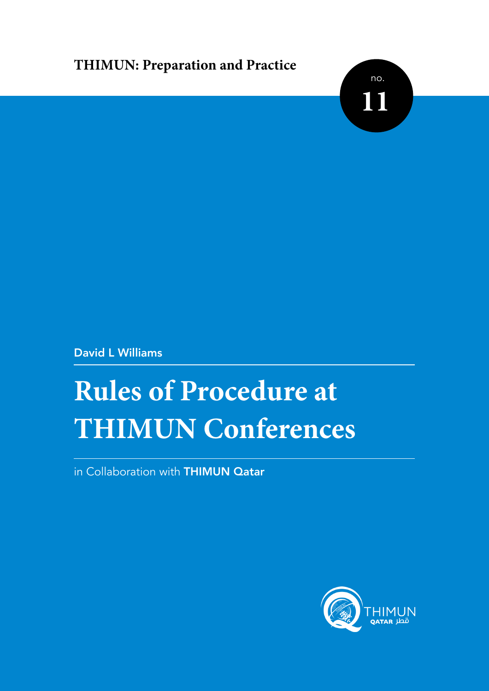## **THIMUN: Preparation and Practice**



David L Williams

# **Rules of Procedure at THIMUN Conferences**

in Collaboration with THIMUN Qatar

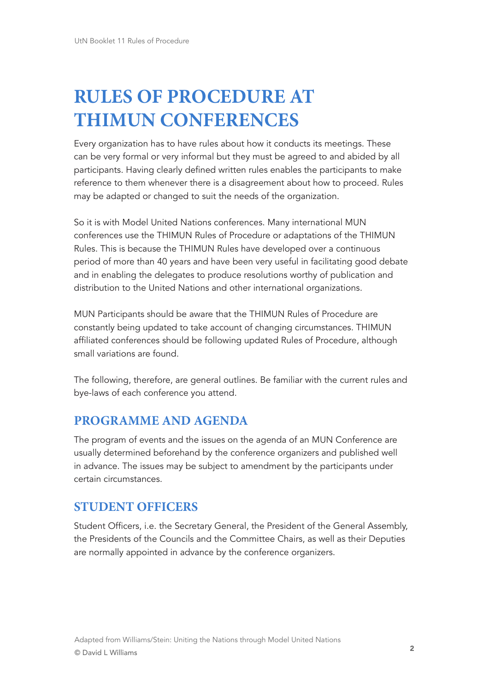## **RULES OF PROCEDURE AT THIMUN CONFERENCES**

Every organization has to have rules about how it conducts its meetings. These can be very formal or very informal but they must be agreed to and abided by all participants. Having clearly defined written rules enables the participants to make reference to them whenever there is a disagreement about how to proceed. Rules may be adapted or changed to suit the needs of the organization.

So it is with Model United Nations conferences. Many international MUN conferences use the THIMUN Rules of Procedure or adaptations of the THIMUN Rules. This is because the THIMUN Rules have developed over a continuous period of more than 40 years and have been very useful in facilitating good debate and in enabling the delegates to produce resolutions worthy of publication and distribution to the United Nations and other international organizations.

MUN Participants should be aware that the THIMUN Rules of Procedure are constantly being updated to take account of changing circumstances. THIMUN affiliated conferences should be following updated Rules of Procedure, although small variations are found.

The following, therefore, are general outlines. Be familiar with the current rules and bye-laws of each conference you attend.

## **PROGRAMME AND AGENDA**

The program of events and the issues on the agenda of an MUN Conference are usually determined beforehand by the conference organizers and published well in advance. The issues may be subject to amendment by the participants under certain circumstances.

## **STUDENT OFFICERS**

Student Officers, i.e. the Secretary General, the President of the General Assembly, the Presidents of the Councils and the Committee Chairs, as well as their Deputies are normally appointed in advance by the conference organizers.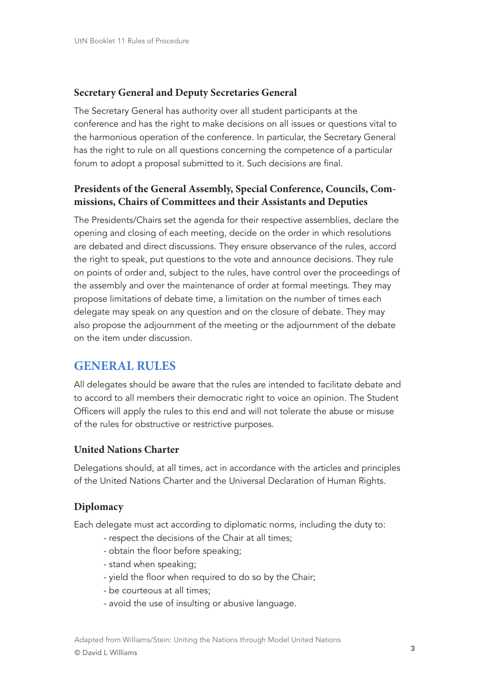## **Secretary General and Deputy Secretaries General**

The Secretary General has authority over all student participants at the conference and has the right to make decisions on all issues or questions vital to the harmonious operation of the conference. In particular, the Secretary General has the right to rule on all questions concerning the competence of a particular forum to adopt a proposal submitted to it. Such decisions are final.

## **Presidents of the General Assembly, Special Conference, Councils, Commissions, Chairs of Committees and their Assistants and Deputies**

The Presidents/Chairs set the agenda for their respective assemblies, declare the opening and closing of each meeting, decide on the order in which resolutions are debated and direct discussions. They ensure observance of the rules, accord the right to speak, put questions to the vote and announce decisions. They rule on points of order and, subject to the rules, have control over the proceedings of the assembly and over the maintenance of order at formal meetings. They may propose limitations of debate time, a limitation on the number of times each delegate may speak on any question and on the closure of debate. They may also propose the adjournment of the meeting or the adjournment of the debate on the item under discussion.

## **GENERAL RULES**

All delegates should be aware that the rules are intended to facilitate debate and to accord to all members their democratic right to voice an opinion. The Student Officers will apply the rules to this end and will not tolerate the abuse or misuse of the rules for obstructive or restrictive purposes.

#### **United Nations Charter**

Delegations should, at all times, act in accordance with the articles and principles of the United Nations Charter and the Universal Declaration of Human Rights.

## **Diplomacy**

Each delegate must act according to diplomatic norms, including the duty to:

- respect the decisions of the Chair at all times;
- obtain the floor before speaking;
- stand when speaking;
- yield the floor when required to do so by the Chair;
- be courteous at all times;
- avoid the use of insulting or abusive language.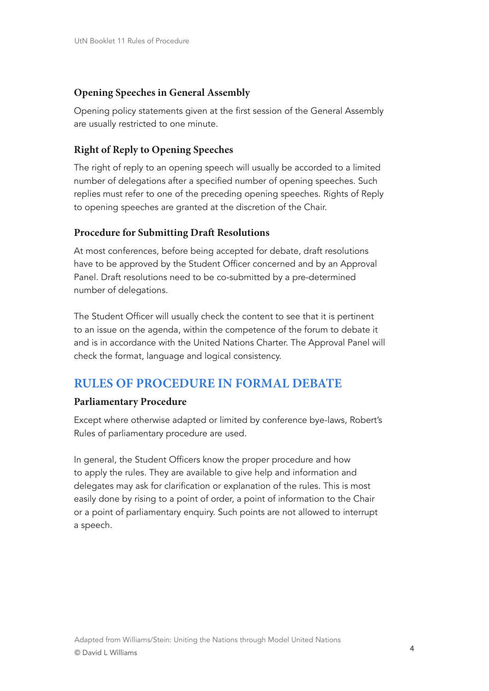## **Opening Speeches in General Assembly**

Opening policy statements given at the first session of the General Assembly are usually restricted to one minute.

## **Right of Reply to Opening Speeches**

The right of reply to an opening speech will usually be accorded to a limited number of delegations after a specified number of opening speeches. Such replies must refer to one of the preceding opening speeches. Rights of Reply to opening speeches are granted at the discretion of the Chair.

## **Procedure for Submitting Draft Resolutions**

At most conferences, before being accepted for debate, draft resolutions have to be approved by the Student Officer concerned and by an Approval Panel. Draft resolutions need to be co-submitted by a pre-determined number of delegations.

The Student Officer will usually check the content to see that it is pertinent to an issue on the agenda, within the competence of the forum to debate it and is in accordance with the United Nations Charter. The Approval Panel will check the format, language and logical consistency.

## **RULES OF PROCEDURE IN FORMAL DEBATE**

## **Parliamentary Procedure**

Except where otherwise adapted or limited by conference bye-laws, Robert's Rules of parliamentary procedure are used.

In general, the Student Officers know the proper procedure and how to apply the rules. They are available to give help and information and delegates may ask for clarification or explanation of the rules. This is most easily done by rising to a point of order, a point of information to the Chair or a point of parliamentary enquiry. Such points are not allowed to interrupt a speech.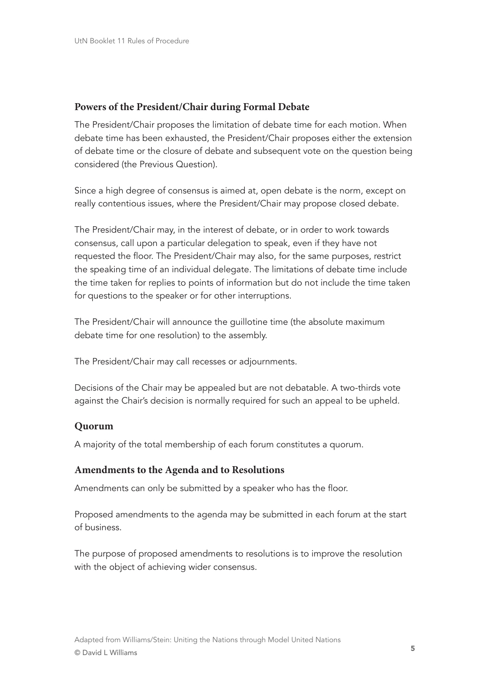#### **Powers of the President/Chair during Formal Debate**

The President/Chair proposes the limitation of debate time for each motion. When debate time has been exhausted, the President/Chair proposes either the extension of debate time or the closure of debate and subsequent vote on the question being considered (the Previous Question).

Since a high degree of consensus is aimed at, open debate is the norm, except on really contentious issues, where the President/Chair may propose closed debate.

The President/Chair may, in the interest of debate, or in order to work towards consensus, call upon a particular delegation to speak, even if they have not requested the floor. The President/Chair may also, for the same purposes, restrict the speaking time of an individual delegate. The limitations of debate time include the time taken for replies to points of information but do not include the time taken for questions to the speaker or for other interruptions.

The President/Chair will announce the guillotine time (the absolute maximum debate time for one resolution) to the assembly.

The President/Chair may call recesses or adjournments.

Decisions of the Chair may be appealed but are not debatable. A two-thirds vote against the Chair's decision is normally required for such an appeal to be upheld.

#### **Quorum**

A majority of the total membership of each forum constitutes a quorum.

#### **Amendments to the Agenda and to Resolutions**

Amendments can only be submitted by a speaker who has the floor.

Proposed amendments to the agenda may be submitted in each forum at the start of business.

The purpose of proposed amendments to resolutions is to improve the resolution with the object of achieving wider consensus.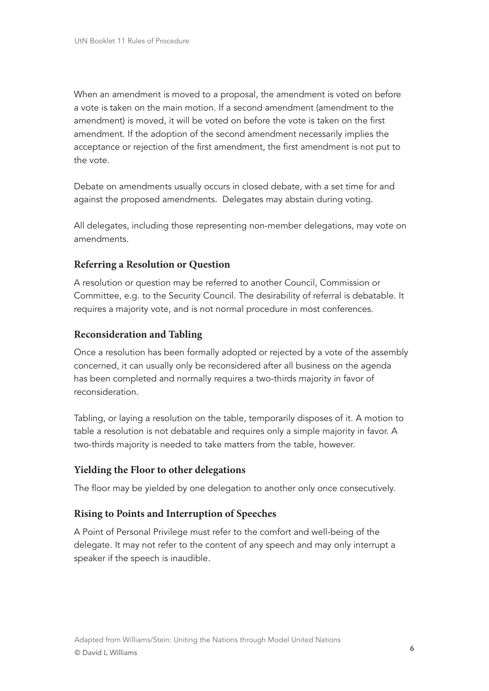When an amendment is moved to a proposal, the amendment is voted on before a vote is taken on the main motion. If a second amendment (amendment to the amendment) is moved, it will be voted on before the vote is taken on the first amendment. If the adoption of the second amendment necessarily implies the acceptance or rejection of the first amendment, the first amendment is not put to the vote.

Debate on amendments usually occurs in closed debate, with a set time for and against the proposed amendments. Delegates may abstain during voting.

All delegates, including those representing non-member delegations, may vote on amendments.

## **Referring a Resolution or Question**

A resolution or question may be referred to another Council, Commission or Committee, e.g. to the Security Council. The desirability of referral is debatable. It requires a majority vote, and is not normal procedure in most conferences.

## **Reconsideration and Tabling**

Once a resolution has been formally adopted or rejected by a vote of the assembly concerned, it can usually only be reconsidered after all business on the agenda has been completed and normally requires a two-thirds majority in favor of reconsideration.

Tabling, or laying a resolution on the table, temporarily disposes of it. A motion to table a resolution is not debatable and requires only a simple majority in favor. A two-thirds majority is needed to take matters from the table, however.

## **Yielding the Floor to other delegations**

The floor may be yielded by one delegation to another only once consecutively.

## **Rising to Points and Interruption of Speeches**

A Point of Personal Privilege must refer to the comfort and well-being of the delegate. It may not refer to the content of any speech and may only interrupt a speaker if the speech is inaudible.